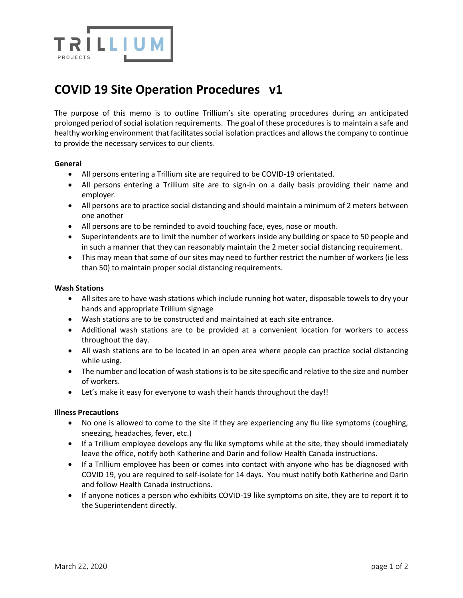

# **COVID 19 Site Operation Procedures v1**

The purpose of this memo is to outline Trillium's site operating procedures during an anticipated prolonged period of social isolation requirements. The goal of these procedures is to maintain a safe and healthy working environment that facilitates social isolation practices and allows the company to continue to provide the necessary services to our clients.

## **General**

- All persons entering a Trillium site are required to be COVID-19 orientated.
- All persons entering a Trillium site are to sign-in on a daily basis providing their name and employer.
- All persons are to practice social distancing and should maintain a minimum of 2 meters between one another
- All persons are to be reminded to avoid touching face, eyes, nose or mouth.
- Superintendents are to limit the number of workers inside any building or space to 50 people and in such a manner that they can reasonably maintain the 2 meter social distancing requirement.
- This may mean that some of our sites may need to further restrict the number of workers (ie less than 50) to maintain proper social distancing requirements.

## **Wash Stations**

- All sites are to have wash stations which include running hot water, disposable towels to dry your hands and appropriate Trillium signage
- Wash stations are to be constructed and maintained at each site entrance.
- Additional wash stations are to be provided at a convenient location for workers to access throughout the day.
- All wash stations are to be located in an open area where people can practice social distancing while using.
- The number and location of wash stations is to be site specific and relative to the size and number of workers.
- Let's make it easy for everyone to wash their hands throughout the day!!

#### **Illness Precautions**

- No one is allowed to come to the site if they are experiencing any flu like symptoms (coughing, sneezing, headaches, fever, etc.)
- If a Trillium employee develops any flu like symptoms while at the site, they should immediately leave the office, notify both Katherine and Darin and follow Health Canada instructions.
- If a Trillium employee has been or comes into contact with anyone who has be diagnosed with COVID 19, you are required to self-isolate for 14 days. You must notify both Katherine and Darin and follow Health Canada instructions.
- If anyone notices a person who exhibits COVID-19 like symptoms on site, they are to report it to the Superintendent directly.